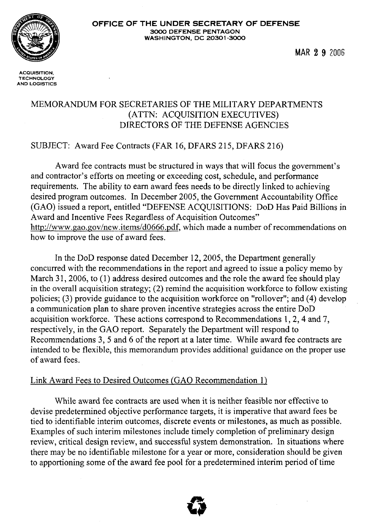

**MAR 2 9** 2006

**ACQUISITION, TECHNOLOGY AND LOGISTICS** 

### MEMORANDUM FOR SECRETARIES OF THE MILITARY DEPARTMENTS (ATTN: ACQUISITION EXECUTIVES) DIRECTORS OF THE DEFENSE AGENCIES

### SUBJECT: Award Fee Contracts (FAR 16, DFARS 215, DFARS 216)

Award fee contracts must be structured in ways that will focus the government's and contractor's efforts on meeting or exceeding cost, schedule, and performance requirements. The ability to earn award fees needs to be directly linked to achieving desired program outcomes. In December 2005, the Government Accountability Office (GAO) issued a report, entitled "DEFENSE ACQUISITIONS: DoD Has Paid Billions in Award and Incentive Fees Regardless of Acquisition Outcomes" http://www.gao.gov/new.items/d0666.pdf, which made a number of recommendations on how to improve the use of award fees.

In the DoD response dated December 12, 2005, the Department generally concurred with the recommendations in the report and agreed to issue a policy memo by March 31, 2006, to (1) address desired outcomes and the role the award fee should play in the overall acquisition strategy; (2) remind the acquisition workforce to follow existing policies; **(3)** provide guidance to the acquisition workforce on "rollover"; and (4) develop a communication plan to share proven incentive strategies across the entire DoD acquisition workforce. These actions correspond to Recommendations 1,2,4 and 7, respectively, in the GAO report. Separately the Department will respond to Recommendations 3, 5 and 6 of the report at a later time. While award fee contracts are intended to be flexible, this memorandum provides additional guidance on the proper use of award fees.

#### Link Award Fees to Desired Outcomes (GAO Recommendation 1)

While award fee contracts are used when it is neither feasible nor effective to devise predetermined objective performance targets, it is imperative that award fees be tied to identifiable interim outcomes, discrete events or milestones, as much as possible. Examples of such interim milestones include timely completion of preliminary design review, critical design review, and successful system demonstration. In situations where there may be no identifiable milestone for a year or more, consideration should be given to apportioning some of the award fee pool for a predetermined interim period of time

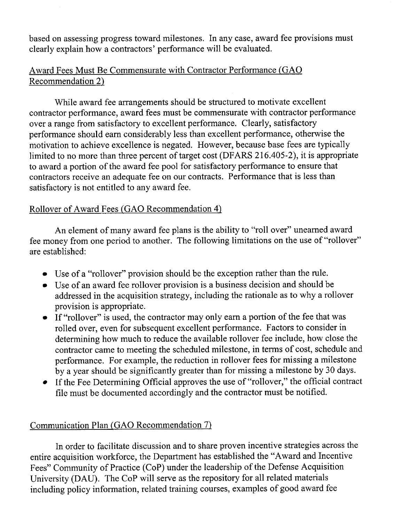based on assessing progress toward milestones. In any case, award fee provisions must clearly explain how a contractors' performance will be evaluated.

# Award Fees Must Be Commensurate with Contractor Performance (GAO Recommendation 2)

While award fee arrangements should be structured to motivate excellent contractor performance, award fees must be commensurate with contractor performance over a range from satisfactory to excellent performance. Clearly, satisfactory performance should earn considerably less than excellent performance, otherwise the motivation to achieve excellence is negated. However, because base fees are typically limited to no more than three percent of target cost (DFARS 216.405-2), it is appropriate to award a portion of the award fee pool for satisfactory performance to ensure that contractors receive an adequate fee on our contracts. Performance that is less than satisfactory is not entitled to any award fee.

# Rollover of Award Fees (GAO Recommendation 4)

An element of many award fee plans is the ability to "roll over" unearned award fee money from one period to another. The following limitations on the use of "rollover" are established:

- Use of a "rollover" provision should be the exception rather than the rule.
- Use of an award fee rollover provision is a business decision and should be addressed in the acquisition strategy, including the rationale as to why a rollover provision is appropriate.
- If "rollover" is used, the contractor may only earn a portion of the fee that was rolled over, even for subsequent excellent performance. Factors to consider in determining how much to reduce the available rollover fee include, how close the contractor came to meeting the scheduled milestone, in terms of cost, schedule and performance. For example, the reduction in rollover fees for missing a milestone by a year should be significantly greater than for missing a milestone by 30 days.
- If the Fee Determining Official approves the use of "rollover," the official contract file must be documented accordingly and the contractor must be notified.

## Communication Plan (GAO Recommendation 7)

In order to facilitate discussion and to share proven incentive strategies across the entire acquisition workforce, the Department has established the "Award and Incentive Fees" Community of Practice (COP) under the leadership of the Defense Acquisition University (DAU). The COP will serve as the repository for all related materials including policy information, related training courses, examples of good award fee